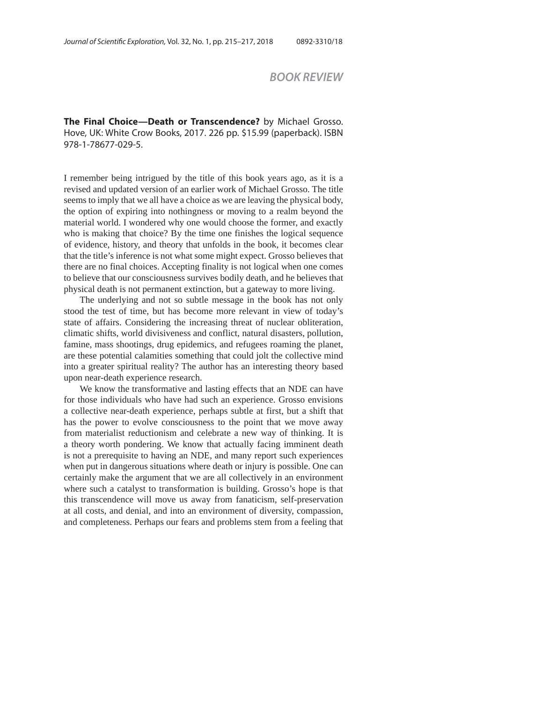## *BOOK REVIEW*

**The Final Choice—Death or Transcendence?** by Michael Grosso. Hove, UK: White Crow Books, 2017. 226 pp. \$15.99 (paperback). ISBN 978-1-78677-029-5.

I remember being intrigued by the title of this book years ago, as it is a revised and updated version of an earlier work of Michael Grosso. The title seems to imply that we all have a choice as we are leaving the physical body, the option of expiring into nothingness or moving to a realm beyond the material world. I wondered why one would choose the former, and exactly who is making that choice? By the time one finishes the logical sequence of evidence, history, and theory that unfolds in the book, it becomes clear that the title's inference is not what some might expect. Grosso believes that there are no final choices. Accepting finality is not logical when one comes to believe that our consciousness survives bodily death, and he believes that physical death is not permanent extinction, but a gateway to more living.

The underlying and not so subtle message in the book has not only stood the test of time, but has become more relevant in view of today's state of affairs. Considering the increasing threat of nuclear obliteration, climatic shifts, world divisiveness and conflict, natural disasters, pollution, famine, mass shootings, drug epidemics, and refugees roaming the planet, are these potential calamities something that could jolt the collective mind into a greater spiritual reality? The author has an interesting theory based upon near-death experience research.

We know the transformative and lasting effects that an NDE can have for those individuals who have had such an experience. Grosso envisions a collective near-death experience, perhaps subtle at first, but a shift that has the power to evolve consciousness to the point that we move away from materialist reductionism and celebrate a new way of thinking. It is a theory worth pondering. We know that actually facing imminent death is not a prerequisite to having an NDE, and many report such experiences when put in dangerous situations where death or injury is possible. One can certainly make the argument that we are all collectively in an environment where such a catalyst to transformation is building. Grosso's hope is that this transcendence will move us away from fanaticism, self-preservation at all costs, and denial, and into an environment of diversity, compassion, and completeness. Perhaps our fears and problems stem from a feeling that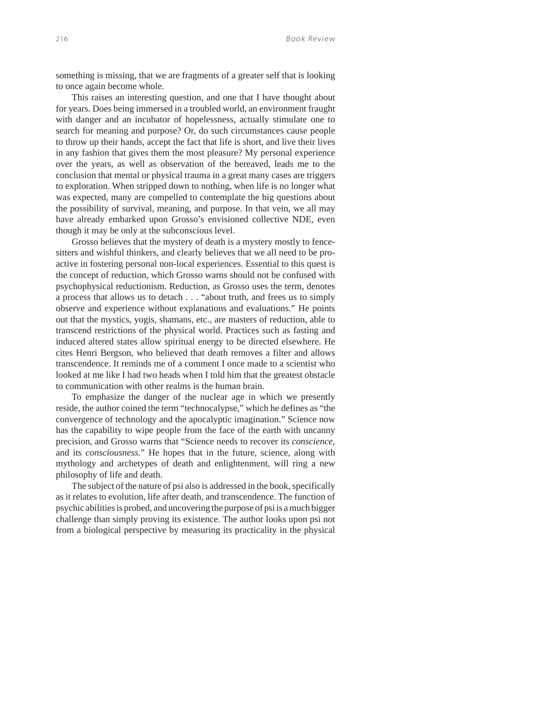something is missing, that we are fragments of a greater self that is looking to once again become whole.

This raises an interesting question, and one that I have thought about for years. Does being immersed in a troubled world, an environment fraught with danger and an incubator of hopelessness, actually stimulate one to search for meaning and purpose? Or, do such circumstances cause people to throw up their hands, accept the fact that life is short, and live their lives in any fashion that gives them the most pleasure? My personal experience over the years, as well as observation of the bereaved, leads me to the conclusion that mental or physical trauma in a great many cases are triggers to exploration. When stripped down to nothing, when life is no longer what was expected, many are compelled to contemplate the big questions about the possibility of survival, meaning, and purpose. In that vein, we all may have already embarked upon Grosso's envisioned collective NDE, even though it may be only at the subconscious level.

Grosso believes that the mystery of death is a mystery mostly to fencesitters and wishful thinkers, and clearly believes that we all need to be proactive in fostering personal non-local experiences. Essential to this quest is the concept of reduction, which Grosso warns should not be confused with psychophysical reductionism. Reduction, as Grosso uses the term, denotes a process that allows us to detach . . . "about truth, and frees us to simply observe and experience without explanations and evaluations." He points out that the mystics, yogis, shamans, etc., are masters of reduction, able to transcend restrictions of the physical world. Practices such as fasting and induced altered states allow spiritual energy to be directed elsewhere. He cites Henri Bergson, who believed that death removes a filter and allows transcendence. It reminds me of a comment I once made to a scientist who looked at me like I had two heads when I told him that the greatest obstacle to communication with other realms is the human brain.

To emphasize the danger of the nuclear age in which we presently reside, the author coined the term "technocalypse," which he defines as "the convergence of technology and the apocalyptic imagination." Science now has the capability to wipe people from the face of the earth with uncanny precision, and Grosso warns that "Science needs to recover its *conscience*, and its *consciousness*." He hopes that in the future, science, along with mythology and archetypes of death and enlightenment, will ring a new philosophy of life and death.

The subject of the nature of psi also is addressed in the book, specifically as it relates to evolution, life after death, and transcendence. The function of psychic abilities is probed, and uncovering the purpose of psi is a much bigger challenge than simply proving its existence. The author looks upon psi not from a biological perspective by measuring its practicality in the physical